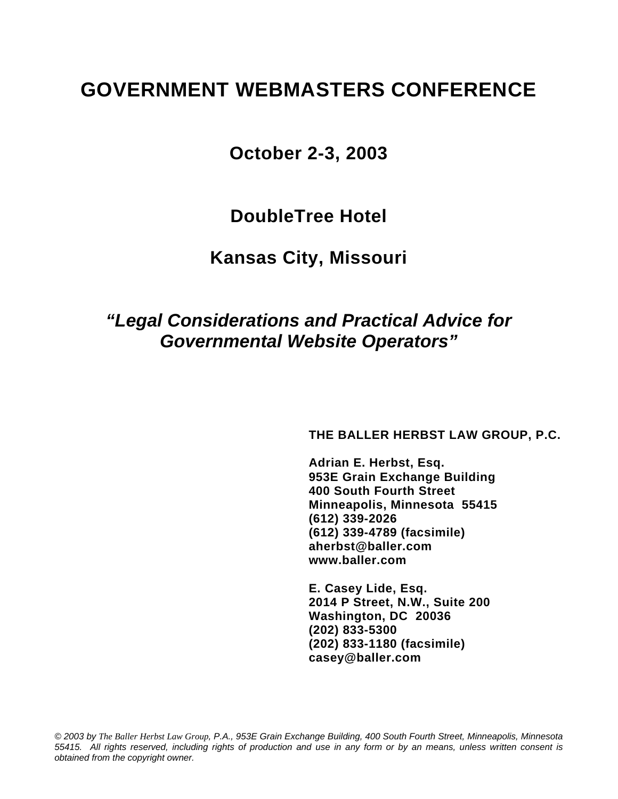# **GOVERNMENT WEBMASTERS CONFERENCE**

**October 2-3, 2003** 

**DoubleTree Hotel** 

**Kansas City, Missouri** 

# *"Legal Considerations and Practical Advice for Governmental Website Operators"*

**THE BALLER HERBST LAW GROUP, P.C.** 

 **Adrian E. Herbst, Esq. 953E Grain Exchange Building 400 South Fourth Street Minneapolis, Minnesota 55415 (612) 339-2026 (612) 339-4789 (facsimile) aherbst@baller.com www.baller.com** 

 **E. Casey Lide, Esq. 2014 P Street, N.W., Suite 200 Washington, DC 20036 (202) 833-5300 (202) 833-1180 (facsimile) casey@baller.com** 

*© 2003 by The Baller Herbst Law Group, P.A., 953E Grain Exchange Building, 400 South Fourth Street, Minneapolis, Minnesota 55415. All rights reserved, including rights of production and use in any form or by an means, unless written consent is obtained from the copyright owner.*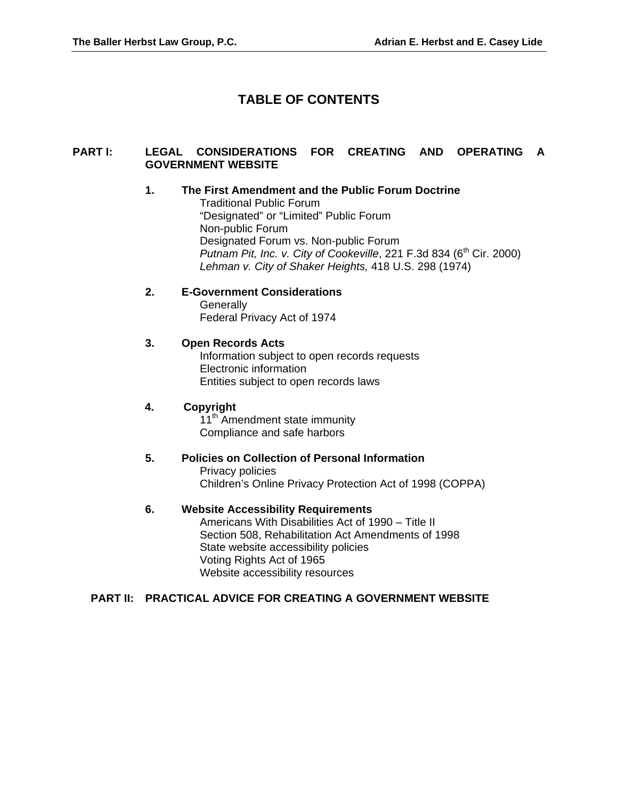# **TABLE OF CONTENTS**

## **PART I: LEGAL CONSIDERATIONS FOR CREATING AND OPERATING A GOVERNMENT WEBSITE**

## **1. The First Amendment and the Public Forum Doctrine**

Traditional Public Forum "Designated" or "Limited" Public Forum Non-public Forum Designated Forum vs. Non-public Forum *Putnam Pit, Inc. v. City of Cookeville,* 221 F.3d 834 (6<sup>th</sup> Cir. 2000) *Lehman v. City of Shaker Heights,* 418 U.S. 298 (1974)

#### **2. E-Government Considerations**

**Generally** Federal Privacy Act of 1974

#### **3. Open Records Acts**

Information subject to open records requests Electronic information Entities subject to open records laws

#### **4. Copyright**

11<sup>th</sup> Amendment state immunity Compliance and safe harbors

# **5. Policies on Collection of Personal Information**  Privacy policies

Children's Online Privacy Protection Act of 1998 (COPPA)

#### **6. Website Accessibility Requirements**

Americans With Disabilities Act of 1990 – Title II Section 508, Rehabilitation Act Amendments of 1998 State website accessibility policies Voting Rights Act of 1965 Website accessibility resources

#### **PART II: PRACTICAL ADVICE FOR CREATING A GOVERNMENT WEBSITE**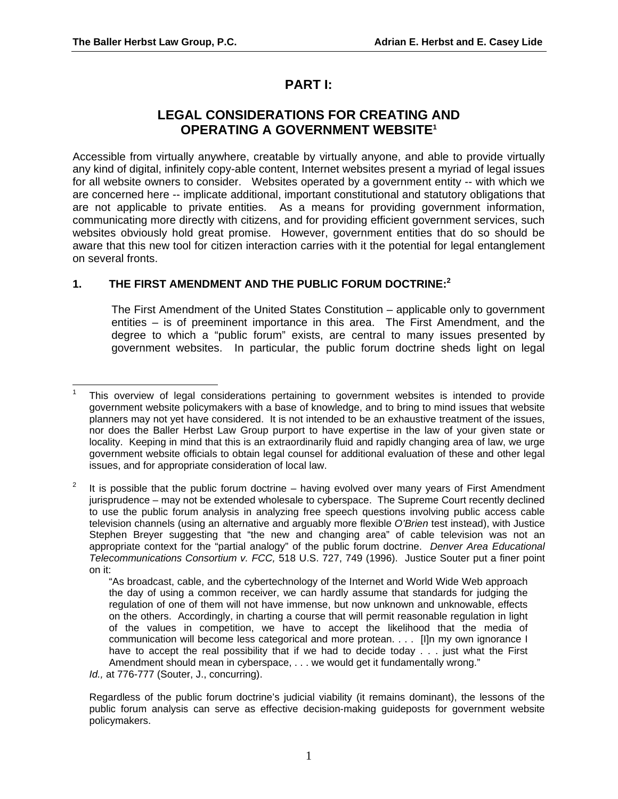# **PART I:**

# **LEGAL CONSIDERATIONS FOR CREATING AND OPERATING A GOVERNMENT WEBSIT[E1](#page-2-0)**

Accessible from virtually anywhere, creatable by virtually anyone, and able to provide virtually any kind of digital, infinitely copy-able content, Internet websites present a myriad of legal issues for all website owners to consider. Websites operated by a government entity -- with which we are concerned here -- implicate additional, important constitutional and statutory obligations that are not applicable to private entities. As a means for providing government information, communicating more directly with citizens, and for providing efficient government services, such websites obviously hold great promise. However, government entities that do so should be aware that this new tool for citizen interaction carries with it the potential for legal entanglement on several fronts.

# **1. THE FIRST AMENDMENT AND THE PUBLIC FORUM DOCTRINE:[2](#page-2-1)**

The First Amendment of the United States Constitution – applicable only to government entities – is of preeminent importance in this area. The First Amendment, and the degree to which a "public forum" exists, are central to many issues presented by government websites. In particular, the public forum doctrine sheds light on legal

<span id="page-2-0"></span>l <sup>1</sup> This overview of legal considerations pertaining to government websites is intended to provide government website policymakers with a base of knowledge, and to bring to mind issues that website planners may not yet have considered. It is not intended to be an exhaustive treatment of the issues, nor does the Baller Herbst Law Group purport to have expertise in the law of your given state or locality. Keeping in mind that this is an extraordinarily fluid and rapidly changing area of law, we urge government website officials to obtain legal counsel for additional evaluation of these and other legal issues, and for appropriate consideration of local law.

<span id="page-2-1"></span>It is possible that the public forum doctrine – having evolved over many years of First Amendment jurisprudence – may not be extended wholesale to cyberspace. The Supreme Court recently declined to use the public forum analysis in analyzing free speech questions involving public access cable television channels (using an alternative and arguably more flexible *O'Brien* test instead), with Justice Stephen Breyer suggesting that "the new and changing area" of cable television was not an appropriate context for the "partial analogy" of the public forum doctrine. *Denver Area Educational Telecommunications Consortium v. FCC,* 518 U.S. 727, 749 (1996). Justice Souter put a finer point on it:

<sup>&</sup>quot;As broadcast, cable, and the cybertechnology of the Internet and World Wide Web approach the day of using a common receiver, we can hardly assume that standards for judging the regulation of one of them will not have immense, but now unknown and unknowable, effects on the others. Accordingly, in charting a course that will permit reasonable regulation in light of the values in competition, we have to accept the likelihood that the media of communication will become less categorical and more protean. . . . [I]n my own ignorance I have to accept the real possibility that if we had to decide today . . . just what the First Amendment should mean in cyberspace, . . . we would get it fundamentally wrong."

*Id.,* at 776-777 (Souter, J., concurring).

Regardless of the public forum doctrine's judicial viability (it remains dominant), the lessons of the public forum analysis can serve as effective decision-making guideposts for government website policymakers.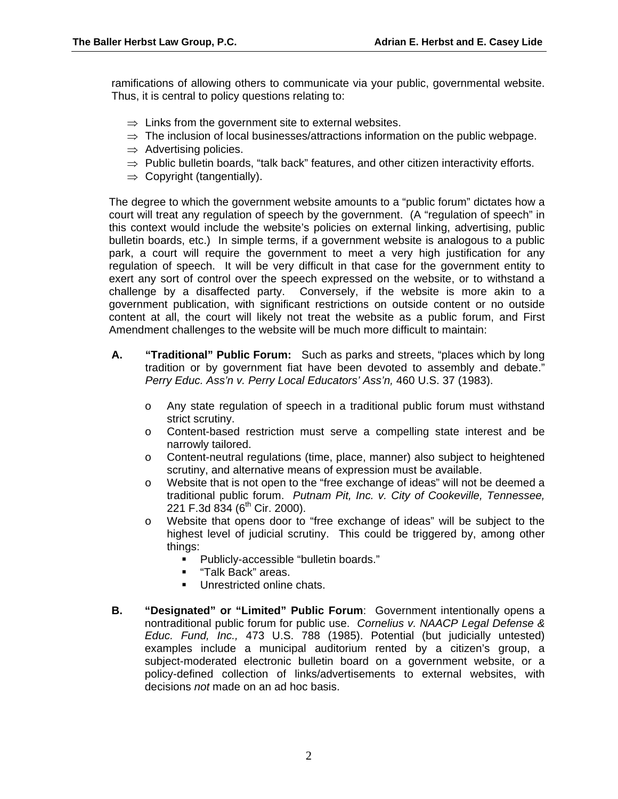ramifications of allowing others to communicate via your public, governmental website. Thus, it is central to policy questions relating to:

- $\Rightarrow$  Links from the government site to external websites.
- $\Rightarrow$  The inclusion of local businesses/attractions information on the public webpage.
- $\Rightarrow$  Advertising policies.
- $\Rightarrow$  Public bulletin boards, "talk back" features, and other citizen interactivity efforts.
- $\Rightarrow$  Copyright (tangentially).

The degree to which the government website amounts to a "public forum" dictates how a court will treat any regulation of speech by the government. (A "regulation of speech" in this context would include the website's policies on external linking, advertising, public bulletin boards, etc.) In simple terms, if a government website is analogous to a public park, a court will require the government to meet a very high justification for any regulation of speech. It will be very difficult in that case for the government entity to exert any sort of control over the speech expressed on the website, or to withstand a challenge by a disaffected party. Conversely, if the website is more akin to a government publication, with significant restrictions on outside content or no outside content at all, the court will likely not treat the website as a public forum, and First Amendment challenges to the website will be much more difficult to maintain:

- **A. "Traditional" Public Forum:** Such as parks and streets, "places which by long tradition or by government fiat have been devoted to assembly and debate." *Perry Educ. Ass'n v. Perry Local Educators' Ass'n,* 460 U.S. 37 (1983).
	- o Any state regulation of speech in a traditional public forum must withstand strict scrutiny.
	- o Content-based restriction must serve a compelling state interest and be narrowly tailored.
	- o Content-neutral regulations (time, place, manner) also subject to heightened scrutiny, and alternative means of expression must be available.
	- o Website that is not open to the "free exchange of ideas" will not be deemed a traditional public forum. *Putnam Pit, Inc. v. City of Cookeville, Tennessee,*  221 F.3d 834 ( $6^{th}$  Cir. 2000).
	- o Website that opens door to "free exchange of ideas" will be subject to the highest level of judicial scrutiny. This could be triggered by, among other things:
		- Publicly-accessible "bulletin boards."
		- **Talk Back"** areas.
		- **Unrestricted online chats.**
- **B. "Designated" or "Limited" Public Forum**: Government intentionally opens a nontraditional public forum for public use. *Cornelius v. NAACP Legal Defense & Educ. Fund, Inc.,* 473 U.S. 788 (1985). Potential (but judicially untested) examples include a municipal auditorium rented by a citizen's group, a subject-moderated electronic bulletin board on a government website, or a policy-defined collection of links/advertisements to external websites, with decisions *not* made on an ad hoc basis.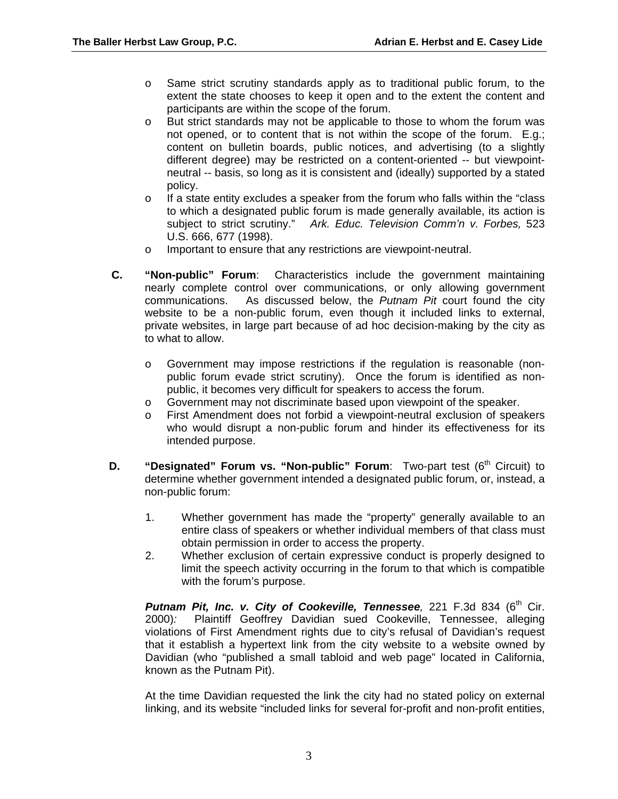- o Same strict scrutiny standards apply as to traditional public forum, to the extent the state chooses to keep it open and to the extent the content and participants are within the scope of the forum.
- o But strict standards may not be applicable to those to whom the forum was not opened, or to content that is not within the scope of the forum. E.g.; content on bulletin boards, public notices, and advertising (to a slightly different degree) may be restricted on a content-oriented -- but viewpointneutral -- basis, so long as it is consistent and (ideally) supported by a stated policy.
- $\circ$  If a state entity excludes a speaker from the forum who falls within the "class" to which a designated public forum is made generally available, its action is subject to strict scrutiny." *Ark. Educ. Television Comm'n v. Forbes,* 523 U.S. 666, 677 (1998).
- o Important to ensure that any restrictions are viewpoint-neutral.
- **C. "Non-public" Forum**: Characteristics include the government maintaining nearly complete control over communications, or only allowing government communications. As discussed below, the *Putnam Pit* court found the city website to be a non-public forum, even though it included links to external, private websites, in large part because of ad hoc decision-making by the city as to what to allow.
	- o Government may impose restrictions if the regulation is reasonable (nonpublic forum evade strict scrutiny). Once the forum is identified as nonpublic, it becomes very difficult for speakers to access the forum.
	- o Government may not discriminate based upon viewpoint of the speaker.
	- o First Amendment does not forbid a viewpoint-neutral exclusion of speakers who would disrupt a non-public forum and hinder its effectiveness for its intended purpose.
- **D.** "Designated" Forum vs. "Non-public" Forum: Two-part test (6<sup>th</sup> Circuit) to determine whether government intended a designated public forum, or, instead, a non-public forum:
	- 1. Whether government has made the "property" generally available to an entire class of speakers or whether individual members of that class must obtain permission in order to access the property.
	- 2. Whether exclusion of certain expressive conduct is properly designed to limit the speech activity occurring in the forum to that which is compatible with the forum's purpose.

**Putnam Pit, Inc. v. City of Cookeville, Tennessee**, 221 F.3d 834 (6<sup>th</sup> Cir. 2000)*:* Plaintiff Geoffrey Davidian sued Cookeville, Tennessee, alleging violations of First Amendment rights due to city's refusal of Davidian's request that it establish a hypertext link from the city website to a website owned by Davidian (who "published a small tabloid and web page" located in California, known as the Putnam Pit).

At the time Davidian requested the link the city had no stated policy on external linking, and its website "included links for several for-profit and non-profit entities,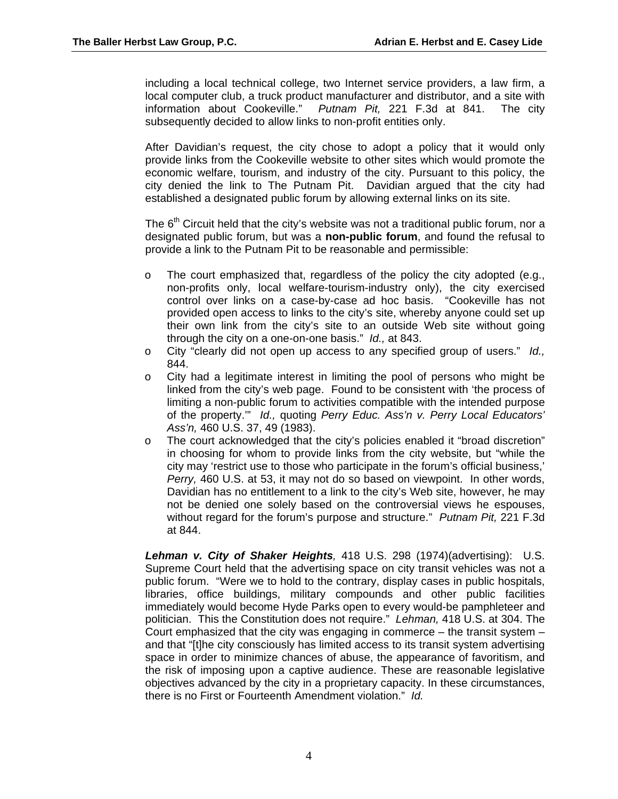including a local technical college, two Internet service providers, a law firm, a local computer club, a truck product manufacturer and distributor, and a site with information about Cookeville." *Putnam Pit,* 221 F.3d at 841. The city subsequently decided to allow links to non-profit entities only.

After Davidian's request, the city chose to adopt a policy that it would only provide links from the Cookeville website to other sites which would promote the economic welfare, tourism, and industry of the city. Pursuant to this policy, the city denied the link to The Putnam Pit. Davidian argued that the city had established a designated public forum by allowing external links on its site.

The  $6<sup>th</sup>$  Circuit held that the city's website was not a traditional public forum, nor a designated public forum, but was a **non-public forum**, and found the refusal to provide a link to the Putnam Pit to be reasonable and permissible:

- $\circ$  The court emphasized that, regardless of the policy the city adopted (e.g., non-profits only, local welfare-tourism-industry only), the city exercised control over links on a case-by-case ad hoc basis. "Cookeville has not provided open access to links to the city's site, whereby anyone could set up their own link from the city's site to an outside Web site without going through the city on a one-on-one basis." *Id.,* at 843.
- o City "clearly did not open up access to any specified group of users." *Id.,* 844.
- $\circ$  City had a legitimate interest in limiting the pool of persons who might be linked from the city's web page. Found to be consistent with 'the process of limiting a non-public forum to activities compatible with the intended purpose of the property.'" *Id.,* quoting *Perry Educ. Ass'n v. Perry Local Educators' Ass'n,* 460 U.S. 37, 49 (1983).
- o The court acknowledged that the city's policies enabled it "broad discretion" in choosing for whom to provide links from the city website, but "while the city may 'restrict use to those who participate in the forum's official business,' *Perry,* 460 U.S. at 53, it may not do so based on viewpoint. In other words, Davidian has no entitlement to a link to the city's Web site, however, he may not be denied one solely based on the controversial views he espouses, without regard for the forum's purpose and structure." *Putnam Pit,* 221 F.3d at 844.

*Lehman v. City of Shaker Heights,* 418 U.S. 298 (1974)(advertising): U.S. Supreme Court held that the advertising space on city transit vehicles was not a public forum. "Were we to hold to the contrary, display cases in public hospitals, libraries, office buildings, military compounds and other public facilities immediately would become Hyde Parks open to every would-be pamphleteer and politician. This the Constitution does not require." *Lehman,* 418 U.S. at 304. The Court emphasized that the city was engaging in commerce – the transit system – and that "[t]he city consciously has limited access to its transit system advertising space in order to minimize chances of abuse, the appearance of favoritism, and the risk of imposing upon a captive audience. These are reasonable legislative objectives advanced by the city in a proprietary capacity. In these circumstances, there is no First or Fourteenth Amendment violation." *Id.*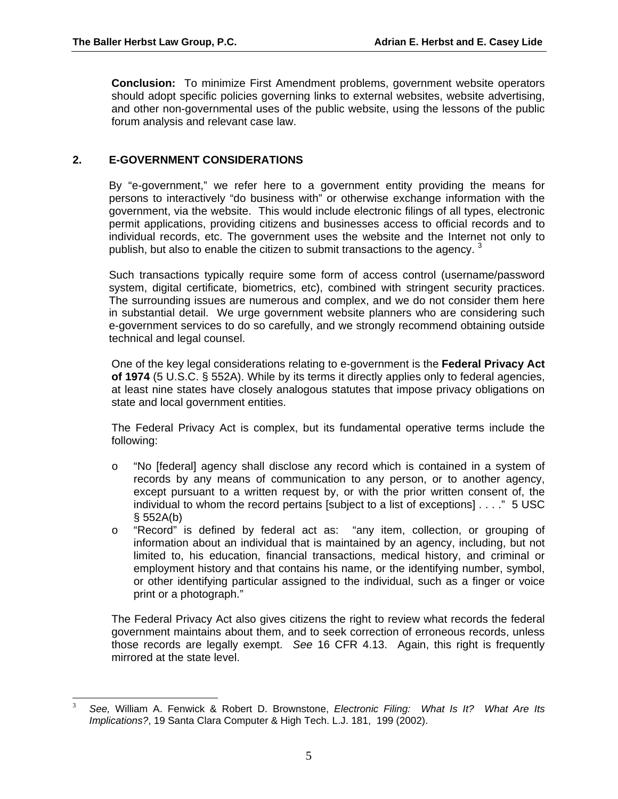**Conclusion:** To minimize First Amendment problems, government website operators should adopt specific policies governing links to external websites, website advertising, and other non-governmental uses of the public website, using the lessons of the public forum analysis and relevant case law.

# **2. E-GOVERNMENT CONSIDERATIONS**

By "e-government," we refer here to a government entity providing the means for persons to interactively "do business with" or otherwise exchange information with the government, via the website. This would include electronic filings of all types, electronic permit applications, providing citizens and businesses access to official records and to individual records, etc. The government uses the website and the Internet not only to publish, but also to enable the citizen to submit transactions to the agency.  $3$ 

Such transactions typically require some form of access control (username/password system, digital certificate, biometrics, etc), combined with stringent security practices. The surrounding issues are numerous and complex, and we do not consider them here in substantial detail. We urge government website planners who are considering such e-government services to do so carefully, and we strongly recommend obtaining outside technical and legal counsel.

One of the key legal considerations relating to e-government is the **Federal Privacy Act of 1974** (5 U.S.C. § 552A). While by its terms it directly applies only to federal agencies, at least nine states have closely analogous statutes that impose privacy obligations on state and local government entities.

The Federal Privacy Act is complex, but its fundamental operative terms include the following:

- o "No [federal] agency shall disclose any record which is contained in a system of records by any means of communication to any person, or to another agency, except pursuant to a written request by, or with the prior written consent of, the individual to whom the record pertains [subject to a list of exceptions] . . . ." 5 USC § 552A(b)
- o "Record" is defined by federal act as: "any item, collection, or grouping of information about an individual that is maintained by an agency, including, but not limited to, his education, financial transactions, medical history, and criminal or employment history and that contains his name, or the identifying number, symbol, or other identifying particular assigned to the individual, such as a finger or voice print or a photograph."

The Federal Privacy Act also gives citizens the right to review what records the federal government maintains about them, and to seek correction of erroneous records, unless those records are legally exempt. *See* 16 CFR 4.13. Again, this right is frequently mirrored at the state level.

<span id="page-6-0"></span><sup>1</sup> 3 *See,* William A. Fenwick & Robert D. Brownstone, *Electronic Filing: What Is It? What Are Its Implications?*, 19 Santa Clara Computer & High Tech. L.J. 181, 199 (2002).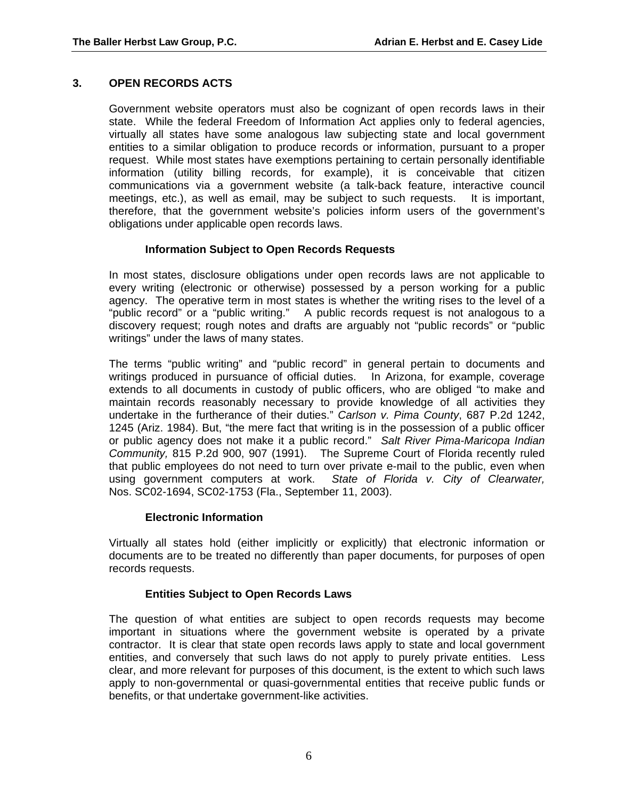# **3. OPEN RECORDS ACTS**

Government website operators must also be cognizant of open records laws in their state. While the federal Freedom of Information Act applies only to federal agencies, virtually all states have some analogous law subjecting state and local government entities to a similar obligation to produce records or information, pursuant to a proper request. While most states have exemptions pertaining to certain personally identifiable information (utility billing records, for example), it is conceivable that citizen communications via a government website (a talk-back feature, interactive council meetings, etc.), as well as email, may be subject to such requests. It is important, therefore, that the government website's policies inform users of the government's obligations under applicable open records laws.

## **Information Subject to Open Records Requests**

In most states, disclosure obligations under open records laws are not applicable to every writing (electronic or otherwise) possessed by a person working for a public agency. The operative term in most states is whether the writing rises to the level of a "public record" or a "public writing." A public records request is not analogous to a discovery request; rough notes and drafts are arguably not "public records" or "public writings" under the laws of many states.

The terms "public writing" and "public record" in general pertain to documents and writings produced in pursuance of official duties. In Arizona, for example, coverage extends to all documents in custody of public officers, who are obliged "to make and maintain records reasonably necessary to provide knowledge of all activities they undertake in the furtherance of their duties." *Carlson v. Pima County*, 687 P.2d 1242, 1245 (Ariz. 1984). But, "the mere fact that writing is in the possession of a public officer or public agency does not make it a public record." *Salt River Pima-Maricopa Indian Community,* 815 P.2d 900, 907 (1991). The Supreme Court of Florida recently ruled that public employees do not need to turn over private e-mail to the public, even when using government computers at work. *State of Florida v. City of Clearwater,*  Nos. SC02-1694, SC02-1753 (Fla., September 11, 2003).

## **Electronic Information**

Virtually all states hold (either implicitly or explicitly) that electronic information or documents are to be treated no differently than paper documents, for purposes of open records requests.

## **Entities Subject to Open Records Laws**

The question of what entities are subject to open records requests may become important in situations where the government website is operated by a private contractor. It is clear that state open records laws apply to state and local government entities, and conversely that such laws do not apply to purely private entities. Less clear, and more relevant for purposes of this document, is the extent to which such laws apply to non-governmental or quasi-governmental entities that receive public funds or benefits, or that undertake government-like activities.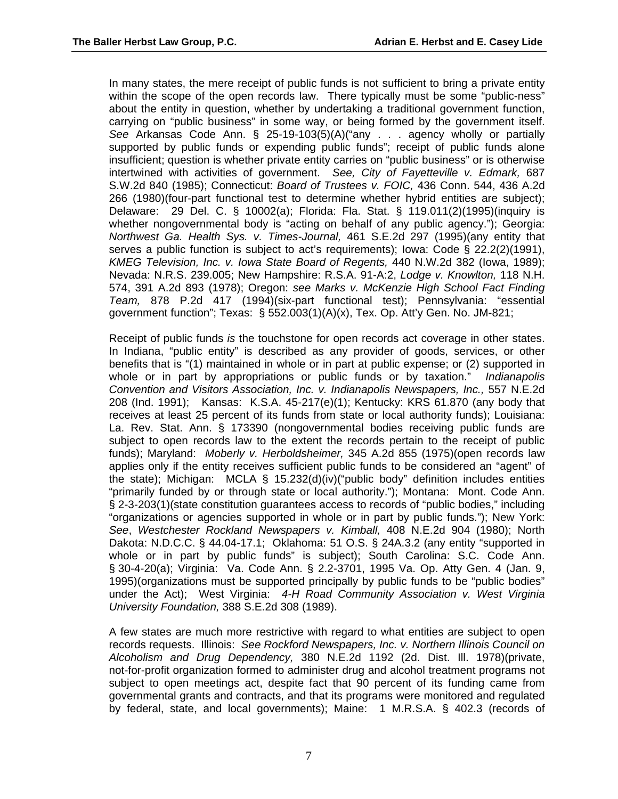In many states, the mere receipt of public funds is not sufficient to bring a private entity within the scope of the open records law. There typically must be some "public-ness" about the entity in question, whether by undertaking a traditional government function, carrying on "public business" in some way, or being formed by the government itself. *See* Arkansas Code Ann. § 25-19-103(5)(A)("any . . . agency wholly or partially supported by public funds or expending public funds"; receipt of public funds alone insufficient; question is whether private entity carries on "public business" or is otherwise intertwined with activities of government. *See, City of Fayetteville v. Edmark,* 687 S.W.2d 840 (1985); Connecticut: *Board of Trustees v. FOIC,* 436 Conn. 544, 436 A.2d 266 (1980)(four-part functional test to determine whether hybrid entities are subject); Delaware: 29 Del. C. § 10002(a); Florida: Fla. Stat. § 119.011(2)(1995)(inquiry is whether nongovernmental body is "acting on behalf of any public agency."); Georgia: *Northwest Ga. Health Sys. v. Times-Journal,* 461 S.E.2d 297 (1995)(any entity that serves a public function is subject to act's requirements); Iowa: Code § 22.2(2)(1991), *KMEG Television, Inc. v. Iowa State Board of Regents,* 440 N.W.2d 382 (Iowa, 1989); Nevada: N.R.S. 239.005; New Hampshire: R.S.A. 91-A:2, *Lodge v. Knowlton,* 118 N.H. 574, 391 A.2d 893 (1978); Oregon: *see Marks v. McKenzie High School Fact Finding Team,* 878 P.2d 417 (1994)(six-part functional test); Pennsylvania: "essential government function"; Texas: § 552.003(1)(A)(x), Tex. Op. Att'y Gen. No. JM-821;

Receipt of public funds *is* the touchstone for open records act coverage in other states. In Indiana, "public entity" is described as any provider of goods, services, or other benefits that is "(1) maintained in whole or in part at public expense; or (2) supported in whole or in part by appropriations or public funds or by taxation." *Indianapolis Convention and Visitors Association, Inc. v. Indianapolis Newspapers, Inc., 557 N.E.2d* 208 (Ind. 1991); Kansas: K.S.A. 45-217(e)(1); Kentucky: KRS 61.870 (any body that receives at least 25 percent of its funds from state or local authority funds); Louisiana: La. Rev. Stat. Ann. § 173390 (nongovernmental bodies receiving public funds are subject to open records law to the extent the records pertain to the receipt of public funds); Maryland: *Moberly v. Herboldsheimer,* 345 A.2d 855 (1975)(open records law applies only if the entity receives sufficient public funds to be considered an "agent" of the state); Michigan: MCLA § 15.232(d)(iv)("public body" definition includes entities "primarily funded by or through state or local authority."); Montana: Mont. Code Ann. § 2-3-203(1)(state constitution guarantees access to records of "public bodies," including "organizations or agencies supported in whole or in part by public funds."); New York: *See*, *Westchester Rockland Newspapers v. Kimball,* 408 N.E.2d 904 (1980); North Dakota: N.D.C.C. § 44.04-17.1; Oklahoma: 51 O.S. § 24A.3.2 (any entity "supported in whole or in part by public funds" is subject); South Carolina: S.C. Code Ann. § 30-4-20(a); Virginia: Va. Code Ann. § 2.2-3701, 1995 Va. Op. Atty Gen. 4 (Jan. 9, 1995)(organizations must be supported principally by public funds to be "public bodies" under the Act); West Virginia: *4-H Road Community Association v. West Virginia University Foundation,* 388 S.E.2d 308 (1989).

A few states are much more restrictive with regard to what entities are subject to open records requests. Illinois: *See Rockford Newspapers, Inc. v. Northern Illinois Council on Alcoholism and Drug Dependency,* 380 N.E.2d 1192 (2d. Dist. Ill. 1978)(private, not-for-profit organization formed to administer drug and alcohol treatment programs not subject to open meetings act, despite fact that 90 percent of its funding came from governmental grants and contracts, and that its programs were monitored and regulated by federal, state, and local governments); Maine: 1 M.R.S.A. § 402.3 (records of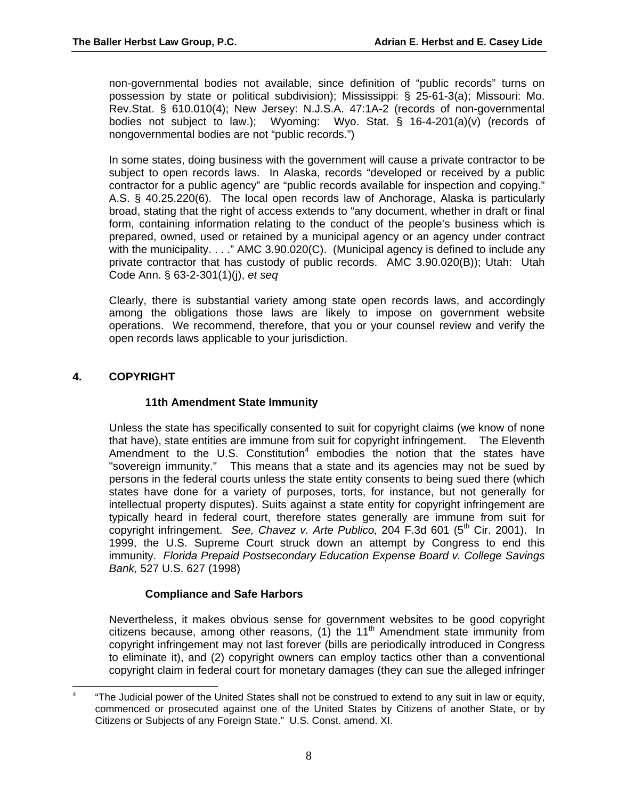non-governmental bodies not available, since definition of "public records" turns on possession by state or political subdivision); Mississippi: § 25-61-3(a); Missouri: Mo. Rev.Stat. § 610.010(4); New Jersey: N.J.S.A. 47:1A-2 (records of non-governmental bodies not subject to law.); Wyoming: Wyo. Stat. § 16-4-201(a)(v) (records of nongovernmental bodies are not "public records.")

In some states, doing business with the government will cause a private contractor to be subject to open records laws. In Alaska, records "developed or received by a public contractor for a public agency" are "public records available for inspection and copying." A.S. § 40.25.220(6). The local open records law of Anchorage, Alaska is particularly broad, stating that the right of access extends to "any document, whether in draft or final form, containing information relating to the conduct of the people's business which is prepared, owned, used or retained by a municipal agency or an agency under contract with the municipality. . . ." AMC 3.90.020(C). (Municipal agency is defined to include any private contractor that has custody of public records. AMC 3.90.020(B)); Utah: Utah Code Ann. § 63-2-301(1)(j), *et seq*

Clearly, there is substantial variety among state open records laws, and accordingly among the obligations those laws are likely to impose on government website operations. We recommend, therefore, that you or your counsel review and verify the open records laws applicable to your jurisdiction.

# **4. COPYRIGHT**

## **11th Amendment State Immunity**

Unless the state has specifically consented to suit for copyright claims (we know of none that have), state entities are immune from suit for copyright infringement. The Eleventh Amendment to the U.S. Constitution $4$  embodies the notion that the states have "sovereign immunity." This means that a state and its agencies may not be sued by persons in the federal courts unless the state entity consents to being sued there (which states have done for a variety of purposes, torts, for instance, but not generally for intellectual property disputes). Suits against a state entity for copyright infringement are typically heard in federal court, therefore states generally are immune from suit for copyright infringement. *See, Chavez v. Arte Publico*, 204 F.3d 601 (5<sup>th</sup> Cir. 2001). In 1999, the U.S. Supreme Court struck down an attempt by Congress to end this immunity. *Florida Prepaid Postsecondary Education Expense Board v. College Savings Bank,* 527 U.S. 627 (1998)

# **Compliance and Safe Harbors**

Nevertheless, it makes obvious sense for government websites to be good copyright citizens because, among other reasons,  $(1)$  the  $11<sup>th</sup>$  Amendment state immunity from copyright infringement may not last forever (bills are periodically introduced in Congress to eliminate it), and (2) copyright owners can employ tactics other than a conventional copyright claim in federal court for monetary damages (they can sue the alleged infringer

<span id="page-9-0"></span> $\frac{1}{4}$  "The Judicial power of the United States shall not be construed to extend to any suit in law or equity, commenced or prosecuted against one of the United States by Citizens of another State, or by Citizens or Subjects of any Foreign State." U.S. Const. amend. XI.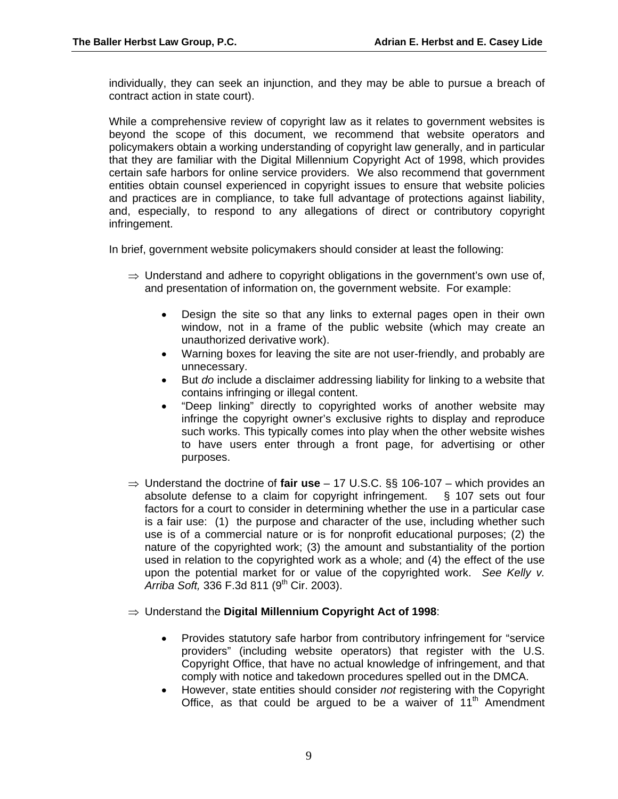individually, they can seek an injunction, and they may be able to pursue a breach of contract action in state court).

While a comprehensive review of copyright law as it relates to government websites is beyond the scope of this document, we recommend that website operators and policymakers obtain a working understanding of copyright law generally, and in particular that they are familiar with the Digital Millennium Copyright Act of 1998, which provides certain safe harbors for online service providers. We also recommend that government entities obtain counsel experienced in copyright issues to ensure that website policies and practices are in compliance, to take full advantage of protections against liability, and, especially, to respond to any allegations of direct or contributory copyright infringement.

In brief, government website policymakers should consider at least the following:

- $\Rightarrow$  Understand and adhere to copyright obligations in the government's own use of, and presentation of information on, the government website. For example:
	- Design the site so that any links to external pages open in their own window, not in a frame of the public website (which may create an unauthorized derivative work).
	- Warning boxes for leaving the site are not user-friendly, and probably are unnecessary.
	- But *do* include a disclaimer addressing liability for linking to a website that contains infringing or illegal content.
	- "Deep linking" directly to copyrighted works of another website may infringe the copyright owner's exclusive rights to display and reproduce such works. This typically comes into play when the other website wishes to have users enter through a front page, for advertising or other purposes.
- ⇒ Understand the doctrine of **fair use** 17 U.S.C. §§ 106-107 which provides an absolute defense to a claim for copyright infringement. § 107 sets out four factors for a court to consider in determining whether the use in a particular case is a fair use: (1) the purpose and character of the use, including whether such use is of a commercial nature or is for nonprofit educational purposes; (2) the nature of the copyrighted work; (3) the amount and substantiality of the portion used in relation to the copyrighted work as a whole; and (4) the effect of the use upon the potential market for or value of the copyrighted work. *See Kelly v. Arriba Soft,* 336 F.3d 811 (9<sup>th</sup> Cir. 2003).
- ⇒ Understand the **Digital Millennium Copyright Act of 1998**:
	- Provides statutory safe harbor from contributory infringement for "service providers" (including website operators) that register with the U.S. Copyright Office, that have no actual knowledge of infringement, and that comply with notice and takedown procedures spelled out in the DMCA.
	- However, state entities should consider *not* registering with the Copyright Office, as that could be argued to be a waiver of  $11<sup>th</sup>$  Amendment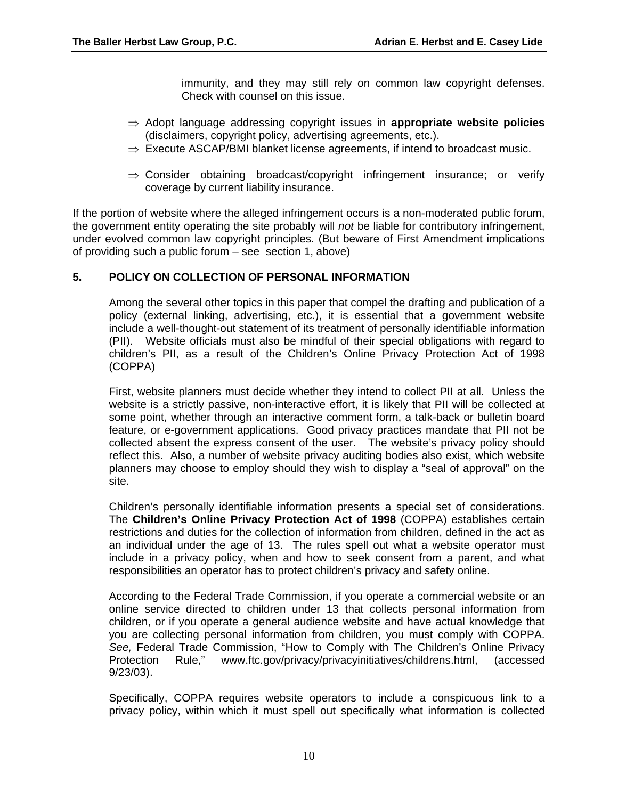immunity, and they may still rely on common law copyright defenses. Check with counsel on this issue.

- ⇒ Adopt language addressing copyright issues in **appropriate website policies** (disclaimers, copyright policy, advertising agreements, etc.).
- $\Rightarrow$  Execute ASCAP/BMI blanket license agreements, if intend to broadcast music.
- ⇒ Consider obtaining broadcast/copyright infringement insurance; or verify coverage by current liability insurance.

If the portion of website where the alleged infringement occurs is a non-moderated public forum, the government entity operating the site probably will *not* be liable for contributory infringement, under evolved common law copyright principles. (But beware of First Amendment implications of providing such a public forum – see section 1, above)

## **5. POLICY ON COLLECTION OF PERSONAL INFORMATION**

Among the several other topics in this paper that compel the drafting and publication of a policy (external linking, advertising, etc.), it is essential that a government website include a well-thought-out statement of its treatment of personally identifiable information (PII). Website officials must also be mindful of their special obligations with regard to children's PII, as a result of the Children's Online Privacy Protection Act of 1998 (COPPA)

First, website planners must decide whether they intend to collect PII at all. Unless the website is a strictly passive, non-interactive effort, it is likely that PII will be collected at some point, whether through an interactive comment form, a talk-back or bulletin board feature, or e-government applications. Good privacy practices mandate that PII not be collected absent the express consent of the user. The website's privacy policy should reflect this. Also, a number of website privacy auditing bodies also exist, which website planners may choose to employ should they wish to display a "seal of approval" on the site.

Children's personally identifiable information presents a special set of considerations. The **Children's Online Privacy Protection Act of 1998** (COPPA) establishes certain restrictions and duties for the collection of information from children, defined in the act as an individual under the age of 13. The rules spell out what a website operator must include in a privacy policy, when and how to seek consent from a parent, and what responsibilities an operator has to protect children's privacy and safety online.

According to the Federal Trade Commission, if you operate a commercial website or an online service directed to children under 13 that collects personal information from children, or if you operate a general audience website and have actual knowledge that you are collecting personal information from children, you must comply with COPPA. *See,* Federal Trade Commission, "How to Comply with The Children's Online Privacy Protection Rule," www.ftc.gov/privacy/privacyinitiatives/childrens.html, (accessed 9/23/03).

Specifically, COPPA requires website operators to include a conspicuous link to a privacy policy, within which it must spell out specifically what information is collected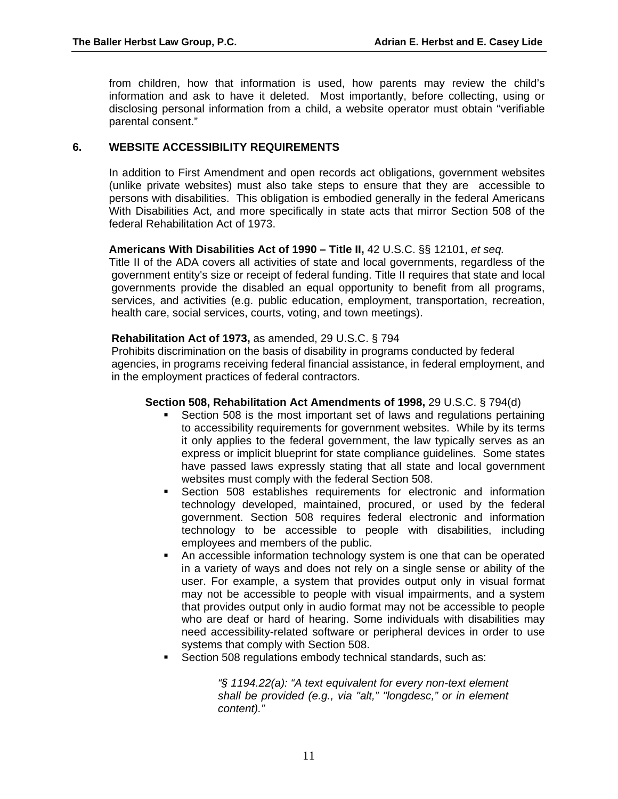from children, how that information is used, how parents may review the child's information and ask to have it deleted. Most importantly, before collecting, using or disclosing personal information from a child, a website operator must obtain "verifiable parental consent."

#### **6. WEBSITE ACCESSIBILITY REQUIREMENTS**

In addition to First Amendment and open records act obligations, government websites (unlike private websites) must also take steps to ensure that they are accessible to persons with disabilities. This obligation is embodied generally in the federal Americans With Disabilities Act, and more specifically in state acts that mirror Section 508 of the federal Rehabilitation Act of 1973.

#### **Americans With Disabilities Act of 1990 – Title II,** 42 U.S.C. §§ 12101, *et seq.*

Title II of the ADA covers all activities of state and local governments, regardless of the government entity's size or receipt of federal funding. Title II requires that state and local governments provide the disabled an equal opportunity to benefit from all programs, services, and activities (e.g. public education, employment, transportation, recreation, health care, social services, courts, voting, and town meetings).

#### **Rehabilitation Act of 1973,** as amended, 29 U.S.C. § 794

Prohibits discrimination on the basis of disability in programs conducted by federal agencies, in programs receiving federal financial assistance, in federal employment, and in the employment practices of federal contractors.

#### **Section 508, Rehabilitation Act Amendments of 1998,** 29 U.S.C. § 794(d)

- Section 508 is the most important set of laws and regulations pertaining to accessibility requirements for government websites. While by its terms it only applies to the federal government, the law typically serves as an express or implicit blueprint for state compliance guidelines. Some states have passed laws expressly stating that all state and local government websites must comply with the federal Section 508.
- Section 508 establishes requirements for electronic and information technology developed, maintained, procured, or used by the federal government. Section 508 requires federal electronic and information technology to be accessible to people with disabilities, including employees and members of the public.
- An accessible information technology system is one that can be operated in a variety of ways and does not rely on a single sense or ability of the user. For example, a system that provides output only in visual format may not be accessible to people with visual impairments, and a system that provides output only in audio format may not be accessible to people who are deaf or hard of hearing. Some individuals with disabilities may need accessibility-related software or peripheral devices in order to use systems that comply with Section 508.
- Section 508 regulations embody technical standards, such as:

*"§ 1194.22(a): "A text equivalent for every non-text element shall be provided (e.g., via "alt," "longdesc," or in element content)."*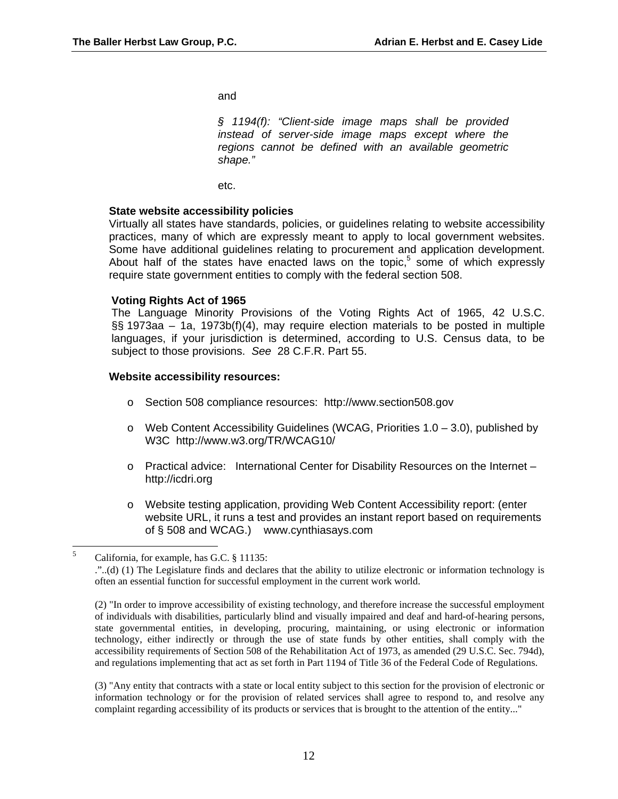and

*§ 1194(f): "Client-side image maps shall be provided instead of server-side image maps except where the regions cannot be defined with an available geometric shape."*

etc.

#### **State website accessibility policies**

Virtually all states have standards, policies, or guidelines relating to website accessibility practices, many of which are expressly meant to apply to local government websites. Some have additional guidelines relating to procurement and application development. About half of the states have enacted laws on the topic, $5$  some of which expressly require state government entities to comply with the federal section 508.

#### **Voting Rights Act of 1965**

The Language Minority Provisions of the Voting Rights Act of 1965, 42 U.S.C. §§ 1973aa – 1a, 1973b(f)(4), may require election materials to be posted in multiple languages, if your jurisdiction is determined, according to U.S. Census data, to be subject to those provisions. *See* 28 C.F.R. Part 55.

#### **Website accessibility resources:**

- o Section 508 compliance resources: http://www.section508.gov
- $\circ$  Web Content Accessibility Guidelines (WCAG, Priorities 1.0 3.0), published by W3C http://www.w3.org/TR/WCAG10/
- o Practical advice: International Center for Disability Resources on the Internet http://icdri.org
- o Website testing application, providing Web Content Accessibility report: (enter website URL, it runs a test and provides an instant report based on requirements of § 508 and WCAG.) www.cynthiasays.com

(2) "In order to improve accessibility of existing technology, and therefore increase the successful employment of individuals with disabilities, particularly blind and visually impaired and deaf and hard-of-hearing persons, state governmental entities, in developing, procuring, maintaining, or using electronic or information technology, either indirectly or through the use of state funds by other entities, shall comply with the accessibility requirements of Section 508 of the Rehabilitation Act of 1973, as amended (29 U.S.C. Sec. 794d), and regulations implementing that act as set forth in Part 1194 of Title 36 of the Federal Code of Regulations.

(3) "Any entity that contracts with a state or local entity subject to this section for the provision of electronic or information technology or for the provision of related services shall agree to respond to, and resolve any complaint regarding accessibility of its products or services that is brought to the attention of the entity..."

<span id="page-13-0"></span> $\frac{1}{5}$ California, for example, has G.C. § 11135:

<sup>.&</sup>quot;..(d) (1) The Legislature finds and declares that the ability to utilize electronic or information technology is often an essential function for successful employment in the current work world.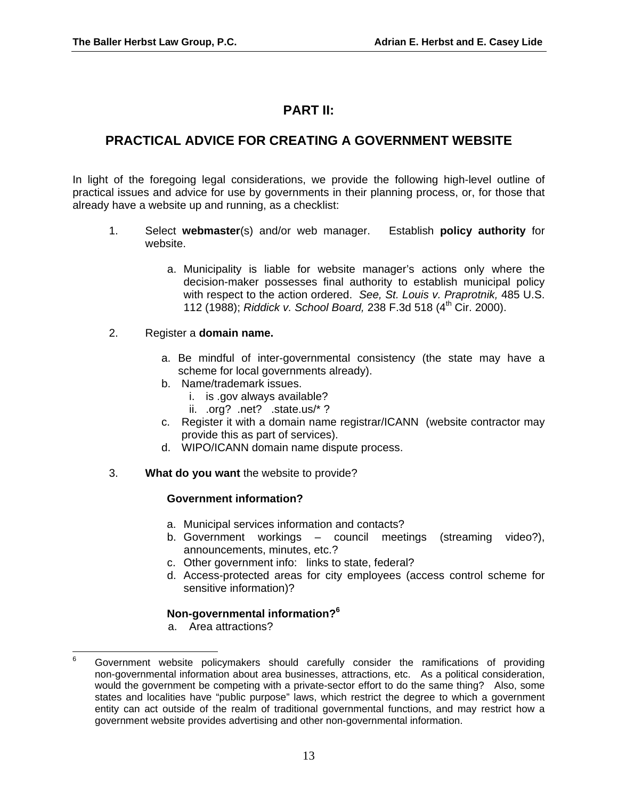# **PART II:**

# **PRACTICAL ADVICE FOR CREATING A GOVERNMENT WEBSITE**

In light of the foregoing legal considerations, we provide the following high-level outline of practical issues and advice for use by governments in their planning process, or, for those that already have a website up and running, as a checklist:

- 1. Select **webmaster**(s) and/or web manager. Establish **policy authority** for website.
	- a. Municipality is liable for website manager's actions only where the decision-maker possesses final authority to establish municipal policy with respect to the action ordered. *See, St. Louis v. Praprotnik,* 485 U.S. 112 (1988); *Riddick v. School Board,* 238 F.3d 518 (4th Cir. 2000).

#### 2. Register a **domain name.**

- a. Be mindful of inter-governmental consistency (the state may have a scheme for local governments already).
- b. Name/trademark issues.
	- i. is .gov always available?
	- ii. .org? .net? .state.us/\* ?
- c. Register it with a domain name registrar/ICANN (website contractor may provide this as part of services).
- d. WIPO/ICANN domain name dispute process.
- 3. **What do you want** the website to provide?

## **Government information?**

- a. Municipal services information and contacts?
- b. Government workings council meetings (streaming video?), announcements, minutes, etc.?
- c. Other government info: links to state, federal?
- d. Access-protected areas for city employees (access control scheme for sensitive information)?

# **Non-governmental information?[6](#page-14-0)**

a. Area attractions?

<span id="page-14-0"></span> $6\phantom{a}$ <sup>6</sup> Government website policymakers should carefully consider the ramifications of providing non-governmental information about area businesses, attractions, etc. As a political consideration, would the government be competing with a private-sector effort to do the same thing? Also, some states and localities have "public purpose" laws, which restrict the degree to which a government entity can act outside of the realm of traditional governmental functions, and may restrict how a government website provides advertising and other non-governmental information.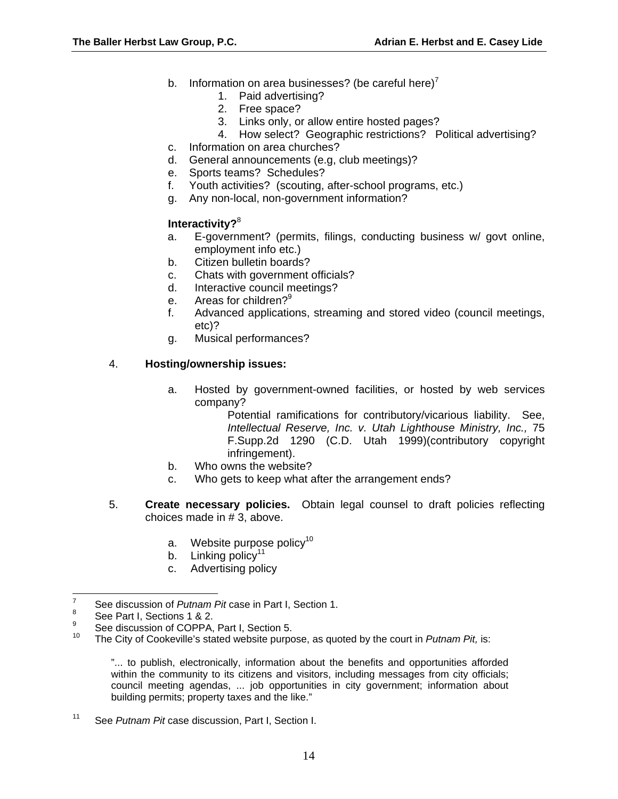- b. Information on area businesses? (be careful here)<sup>[7](#page-15-0)</sup>
	- 1. Paid advertising?
	- 2. Free space?
	- 3. Links only, or allow entire hosted pages?
	- 4. How select? Geographic restrictions? Political advertising?
- c. Information on area churches?
- d. General announcements (e.g, club meetings)?
- e. Sports teams? Schedules?
- f. Youth activities? (scouting, after-school programs, etc.)
- g. Any non-local, non-government information?

# **Interactivity?**[8](#page-15-1)

- a. E-government? (permits, filings, conducting business w/ govt online, employment info etc.)
- b. Citizen bulletin boards?
- c. Chats with government officials?
- d. Interactive council meetings?
- e. Areas for children?<sup>9</sup>
- f. Advanced applications, streaming and stored video (council meetings, etc)?
- g. Musical performances?

# 4. **Hosting/ownership issues:**

a. Hosted by government-owned facilities, or hosted by web services company?

Potential ramifications for contributory/vicarious liability. See, *Intellectual Reserve, Inc. v. Utah Lighthouse Ministry, Inc.,* 75 F.Supp.2d 1290 (C.D. Utah 1999)(contributory copyright infringement).

- b. Who owns the website?
- c. Who gets to keep what after the arrangement ends?
- 5. **Create necessary policies.** Obtain legal counsel to draft policies reflecting choices made in # 3, above.
	- a. Website purpose policy<sup>[10](#page-15-3)</sup>
	- b. Linking policy<sup>[11](#page-15-4)</sup>
	- c. Advertising policy

 $\frac{1}{7}$ See discussion of *Putnam Pit* case in Part I, Section 1.

<span id="page-15-1"></span><span id="page-15-0"></span><sup>8</sup> See Part I, Sections 1 & 2.

<span id="page-15-2"></span><sup>9</sup>  $\frac{9}{10}$  See discussion of COPPA, Part I, Section 5.

<span id="page-15-3"></span>The City of Cookeville's stated website purpose, as quoted by the court in *Putnam Pit*, is:

<sup>&</sup>quot;... to publish, electronically, information about the benefits and opportunities afforded within the community to its citizens and visitors, including messages from city officials; council meeting agendas, ... job opportunities in city government; information about building permits; property taxes and the like."

<span id="page-15-4"></span><sup>11</sup> See *Putnam Pit* case discussion, Part I, Section I.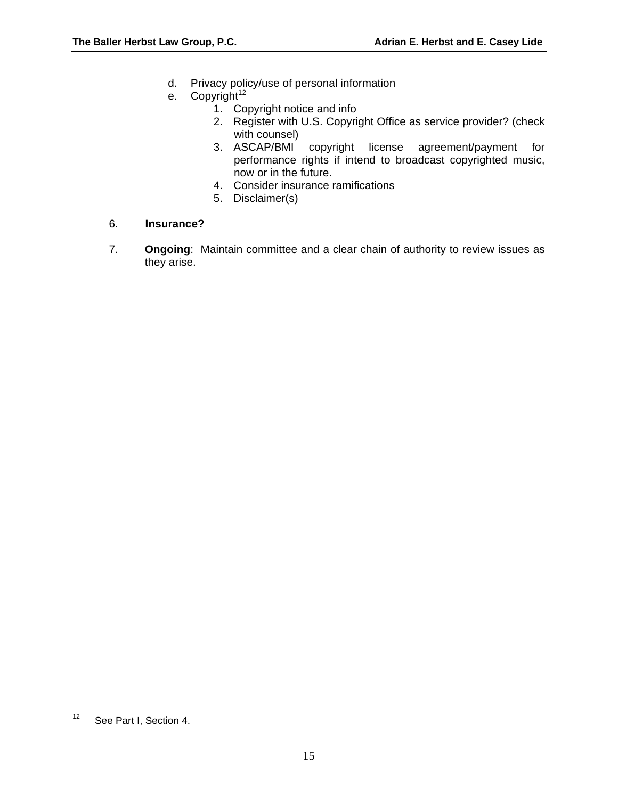- d. Privacy policy/use of personal information
- e. Copyright<sup>[12](#page-16-0)</sup>
	- 1. Copyright notice and info
	- 2. Register with U.S. Copyright Office as service provider? (check with counsel)
	- 3. ASCAP/BMI copyright license agreement/payment for performance rights if intend to broadcast copyrighted music, now or in the future.
	- 4. Consider insurance ramifications
	- 5. Disclaimer(s)
- 6. **Insurance?**
- 7. **Ongoing**: Maintain committee and a clear chain of authority to review issues as they arise.

<span id="page-16-0"></span> $12$ See Part I, Section 4.